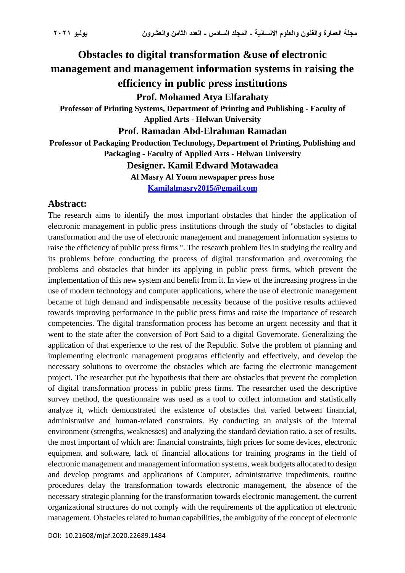# **Obstacles to digital transformation &use of electronic management and management information systems in raising the efficiency in public press institutions Prof. Mohamed Atya Elfarahaty**

**Professor of Printing Systems, Department of Printing and Publishing - Faculty of Applied Arts - Helwan University**

**Prof. Ramadan Abd-Elrahman Ramadan**

**Professor of Packaging Production Technology, Department of Printing, Publishing and Packaging - Faculty of Applied Arts - Helwan University**

**Designer. Kamil Edward Motawadea**

**Al Masry Al Youm newspaper press hose**

**[Kamilalmasry2015@gmail.com](mailto:Kamilalmasry2015@gmail.com)**

# **Abstract:**

The research aims to identify the most important obstacles that hinder the application of electronic management in public press institutions through the study of "obstacles to digital transformation and the use of electronic management and management information systems to raise the efficiency of public press firms ". The research problem lies in studying the reality and its problems before conducting the process of digital transformation and overcoming the problems and obstacles that hinder its applying in public press firms, which prevent the implementation of this new system and benefit from it. In view of the increasing progress in the use of modern technology and computer applications, where the use of electronic management became of high demand and indispensable necessity because of the positive results achieved towards improving performance in the public press firms and raise the importance of research competencies. The digital transformation process has become an urgent necessity and that it went to the state after the conversion of Port Said to a digital Governorate. Generalizing the application of that experience to the rest of the Republic. Solve the problem of planning and implementing electronic management programs efficiently and effectively, and develop the necessary solutions to overcome the obstacles which are facing the electronic management project. The researcher put the hypothesis that there are obstacles that prevent the completion of digital transformation process in public press firms. The researcher used the descriptive survey method, the questionnaire was used as a tool to collect information and statistically analyze it, which demonstrated the existence of obstacles that varied between financial, administrative and human-related constraints. By conducting an analysis of the internal environment (strengths, weaknesses) and analyzing the standard deviation ratio, a set of results, the most important of which are: financial constraints, high prices for some devices, electronic equipment and software, lack of financial allocations for training programs in the field of electronic management and management information systems, weak budgets allocated to design and develop programs and applications of Computer, administrative impediments, routine procedures delay the transformation towards electronic management, the absence of the necessary strategic planning for the transformation towards electronic management, the current organizational structures do not comply with the requirements of the application of electronic management. Obstacles related to human capabilities, the ambiguity of the concept of electronic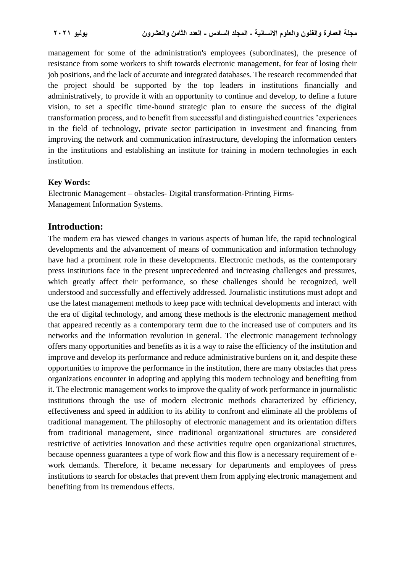management for some of the administration's employees (subordinates), the presence of resistance from some workers to shift towards electronic management, for fear of losing their job positions, and the lack of accurate and integrated databases. The research recommended that the project should be supported by the top leaders in institutions financially and administratively, to provide it with an opportunity to continue and develop, to define a future vision, to set a specific time-bound strategic plan to ensure the success of the digital transformation process, and to benefit from successful and distinguished countries 'experiences in the field of technology, private sector participation in investment and financing from improving the network and communication infrastructure, developing the information centers in the institutions and establishing an institute for training in modern technologies in each institution.

#### **Key Words:**

Electronic Management – obstacles- Digital transformation-Printing Firms-Management Information Systems.

#### **Introduction:**

The modern era has viewed changes in various aspects of human life, the rapid technological developments and the advancement of means of communication and information technology have had a prominent role in these developments. Electronic methods, as the contemporary press institutions face in the present unprecedented and increasing challenges and pressures, which greatly affect their performance, so these challenges should be recognized, well understood and successfully and effectively addressed. Journalistic institutions must adopt and use the latest management methods to keep pace with technical developments and interact with the era of digital technology, and among these methods is the electronic management method that appeared recently as a contemporary term due to the increased use of computers and its networks and the information revolution in general. The electronic management technology offers many opportunities and benefits as it is a way to raise the efficiency of the institution and improve and develop its performance and reduce administrative burdens on it, and despite these opportunities to improve the performance in the institution, there are many obstacles that press organizations encounter in adopting and applying this modern technology and benefiting from it. The electronic management works to improve the quality of work performance in journalistic institutions through the use of modern electronic methods characterized by efficiency, effectiveness and speed in addition to its ability to confront and eliminate all the problems of traditional management. The philosophy of electronic management and its orientation differs from traditional management, since traditional organizational structures are considered restrictive of activities Innovation and these activities require open organizational structures, because openness guarantees a type of work flow and this flow is a necessary requirement of ework demands. Therefore, it became necessary for departments and employees of press institutions to search for obstacles that prevent them from applying electronic management and benefiting from its tremendous effects.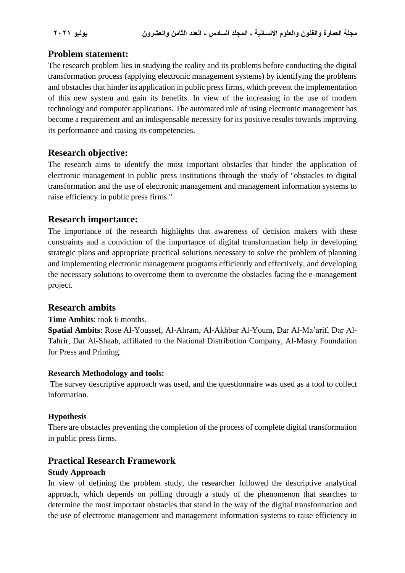# **Problem statement:**

The research problem lies in studying the reality and its problems before conducting the digital transformation process (applying electronic management systems) by identifying the problems and obstacles that hinder its application in public press firms, which prevent the implementation of this new system and gain its benefits. In view of the increasing in the use of modern technology and computer applications. The automated role of using electronic management has become a requirement and an indispensable necessity for its positive results towards improving its performance and raising its competencies.

# **Research objective:**

The research aims to identify the most important obstacles that hinder the application of electronic management in public press institutions through the study of "obstacles to digital transformation and the use of electronic management and management information systems to raise efficiency in public press firms."

# **Research importance:**

The importance of the research highlights that awareness of decision makers with these constraints and a conviction of the importance of digital transformation help in developing strategic plans and appropriate practical solutions necessary to solve the problem of planning and implementing electronic management programs efficiently and effectively, and developing the necessary solutions to overcome them to overcome the obstacles facing the e-management project.

# **Research ambits**

#### **Time Ambits**: took 6 months.

**Spatial Ambits**: Rose Al-Youssef, Al-Ahram, Al-Akhbar Al-Youm, Dar Al-Ma'arif, Dar Al-Tahrir, Dar Al-Shaab, affiliated to the National Distribution Company, Al-Masry Foundation for Press and Printing.

#### **Research Methodology and tools:**

The survey descriptive approach was used, and the questionnaire was used as a tool to collect information.

#### **Hypothesis**

There are obstacles preventing the completion of the process of complete digital transformation in public press firms.

# **Practical Research Framework**

#### **Study Approach**

In view of defining the problem study, the researcher followed the descriptive analytical approach, which depends on polling through a study of the phenomenon that searches to determine the most important obstacles that stand in the way of the digital transformation and the use of electronic management and management information systems to raise efficiency in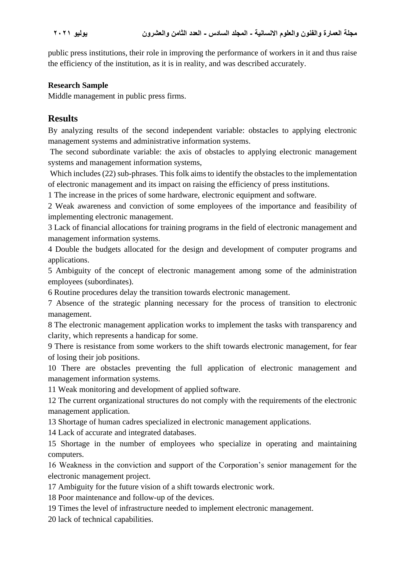public press institutions, their role in improving the performance of workers in it and thus raise the efficiency of the institution, as it is in reality, and was described accurately.

### **Research Sample**

Middle management in public press firms.

# **Results**

By analyzing results of the second independent variable: obstacles to applying electronic management systems and administrative information systems.

The second subordinate variable: the axis of obstacles to applying electronic management systems and management information systems,

Which includes (22) sub-phrases. This folk aims to identify the obstacles to the implementation of electronic management and its impact on raising the efficiency of press institutions.

1 The increase in the prices of some hardware, electronic equipment and software.

2 Weak awareness and conviction of some employees of the importance and feasibility of implementing electronic management.

3 Lack of financial allocations for training programs in the field of electronic management and management information systems.

4 Double the budgets allocated for the design and development of computer programs and applications.

5 Ambiguity of the concept of electronic management among some of the administration employees (subordinates).

6 Routine procedures delay the transition towards electronic management.

7 Absence of the strategic planning necessary for the process of transition to electronic management.

8 The electronic management application works to implement the tasks with transparency and clarity, which represents a handicap for some.

9 There is resistance from some workers to the shift towards electronic management, for fear of losing their job positions.

10 There are obstacles preventing the full application of electronic management and management information systems.

11 Weak monitoring and development of applied software.

12 The current organizational structures do not comply with the requirements of the electronic management application.

13 Shortage of human cadres specialized in electronic management applications.

14 Lack of accurate and integrated databases.

15 Shortage in the number of employees who specialize in operating and maintaining computers.

16 Weakness in the conviction and support of the Corporation's senior management for the electronic management project.

17 Ambiguity for the future vision of a shift towards electronic work.

18 Poor maintenance and follow-up of the devices.

19 Times the level of infrastructure needed to implement electronic management.

20 lack of technical capabilities.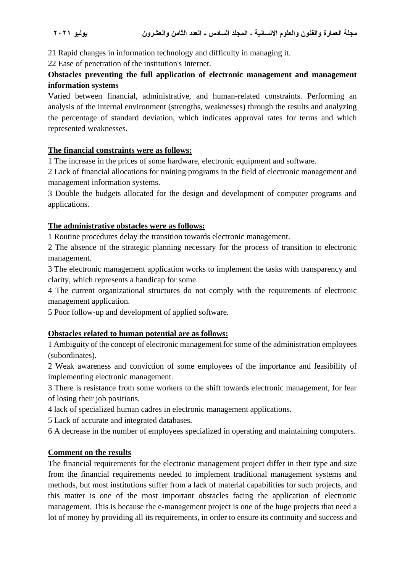21 Rapid changes in information technology and difficulty in managing it.

22 Ease of penetration of the institution's Internet.

# **Obstacles preventing the full application of electronic management and management information systems**

Varied between financial, administrative, and human-related constraints. Performing an analysis of the internal environment (strengths, weaknesses) through the results and analyzing the percentage of standard deviation, which indicates approval rates for terms and which represented weaknesses.

### **The financial constraints were as follows:**

1 The increase in the prices of some hardware, electronic equipment and software.

2 Lack of financial allocations for training programs in the field of electronic management and management information systems.

3 Double the budgets allocated for the design and development of computer programs and applications.

### **The administrative obstacles were as follows:**

1 Routine procedures delay the transition towards electronic management.

2 The absence of the strategic planning necessary for the process of transition to electronic management.

3 The electronic management application works to implement the tasks with transparency and clarity, which represents a handicap for some.

4 The current organizational structures do not comply with the requirements of electronic management application.

5 Poor follow-up and development of applied software.

# **Obstacles related to human potential are as follows:**

1 Ambiguity of the concept of electronic management for some of the administration employees (subordinates).

2 Weak awareness and conviction of some employees of the importance and feasibility of implementing electronic management.

3 There is resistance from some workers to the shift towards electronic management, for fear of losing their job positions.

4 lack of specialized human cadres in electronic management applications.

5 Lack of accurate and integrated databases.

6 A decrease in the number of employees specialized in operating and maintaining computers.

# **Comment on the results**

The financial requirements for the electronic management project differ in their type and size from the financial requirements needed to implement traditional management systems and methods, but most institutions suffer from a lack of material capabilities for such projects, and this matter is one of the most important obstacles facing the application of electronic management. This is because the e-management project is one of the huge projects that need a lot of money by providing all its requirements, in order to ensure its continuity and success and